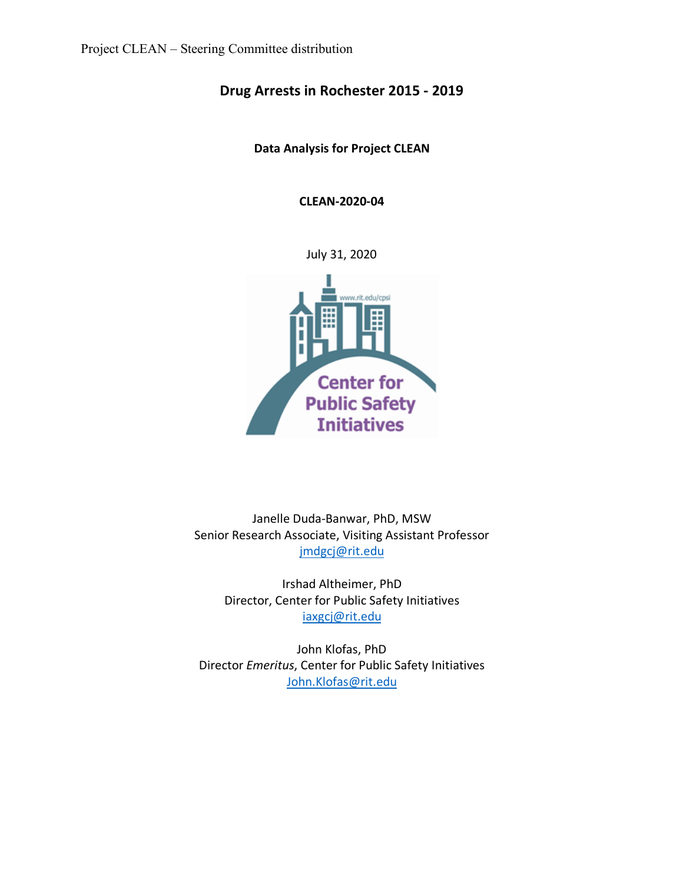# **Drug Arrests in Rochester 2015 - 2019**

**Data Analysis for Project CLEAN**

**CLEAN-2020-04**

July 31, 2020



Janelle Duda-Banwar, PhD, MSW Senior Research Associate, Visiting Assistant Professor jmdgcj@rit.edu

Irshad Altheimer, PhD Director, Center for Public Safety Initiatives iaxgcj@rit.edu

John Klofas, PhD Director *Emeritus*, Center for Public Safety Initiatives John.Klofas@rit.edu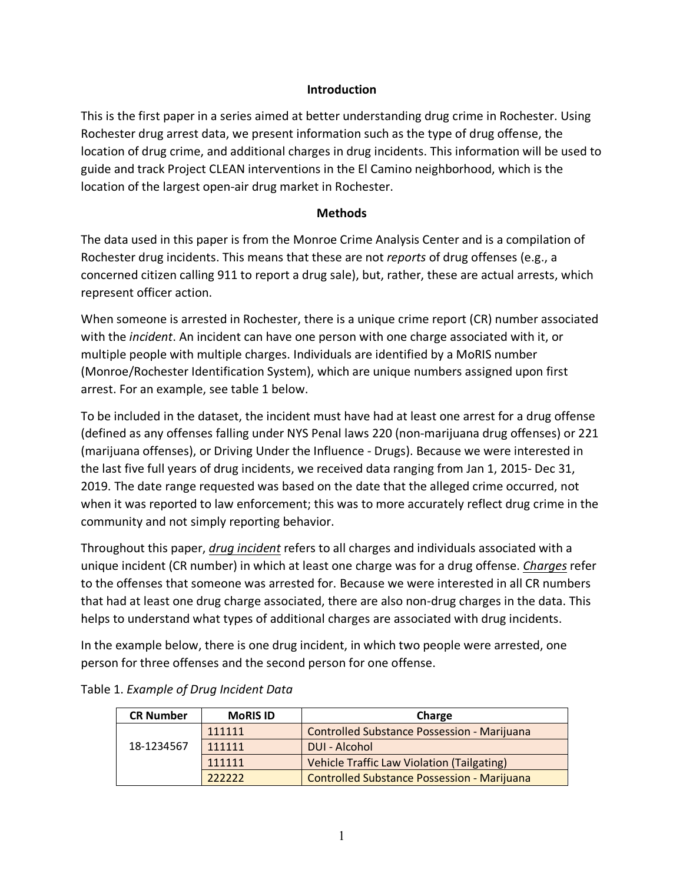# **Introduction**

This is the first paper in a series aimed at better understanding drug crime in Rochester. Using Rochester drug arrest data, we present information such as the type of drug offense, the location of drug crime, and additional charges in drug incidents. This information will be used to guide and track Project CLEAN interventions in the El Camino neighborhood, which is the location of the largest open-air drug market in Rochester.

# **Methods**

The data used in this paper is from the Monroe Crime Analysis Center and is a compilation of Rochester drug incidents. This means that these are not *reports* of drug offenses (e.g., a concerned citizen calling 911 to report a drug sale), but, rather, these are actual arrests, which represent officer action.

When someone is arrested in Rochester, there is a unique crime report (CR) number associated with the *incident*. An incident can have one person with one charge associated with it, or multiple people with multiple charges. Individuals are identified by a MoRIS number (Monroe/Rochester Identification System), which are unique numbers assigned upon first arrest. For an example, see table 1 below.

To be included in the dataset, the incident must have had at least one arrest for a drug offense (defined as any offenses falling under NYS Penal laws 220 (non-marijuana drug offenses) or 221 (marijuana offenses), or Driving Under the Influence - Drugs). Because we were interested in the last five full years of drug incidents, we received data ranging from Jan 1, 2015- Dec 31, 2019. The date range requested was based on the date that the alleged crime occurred, not when it was reported to law enforcement; this was to more accurately reflect drug crime in the community and not simply reporting behavior.

Throughout this paper, *drug incident* refers to all charges and individuals associated with a unique incident (CR number) in which at least one charge was for a drug offense. *Charges* refer to the offenses that someone was arrested for. Because we were interested in all CR numbers that had at least one drug charge associated, there are also non-drug charges in the data. This helps to understand what types of additional charges are associated with drug incidents.

In the example below, there is one drug incident, in which two people were arrested, one person for three offenses and the second person for one offense.

| <b>CR Number</b> | <b>MoRIS ID</b> | Charge                                             |  |
|------------------|-----------------|----------------------------------------------------|--|
| 18-1234567       | 111111          | Controlled Substance Possession - Marijuana        |  |
|                  | 111111          | DUI - Alcohol                                      |  |
|                  | 111111          | Vehicle Traffic Law Violation (Tailgating)         |  |
|                  | 222222          | <b>Controlled Substance Possession - Marijuana</b> |  |

|  | Table 1. Example of Drug Incident Data |  |  |  |
|--|----------------------------------------|--|--|--|
|--|----------------------------------------|--|--|--|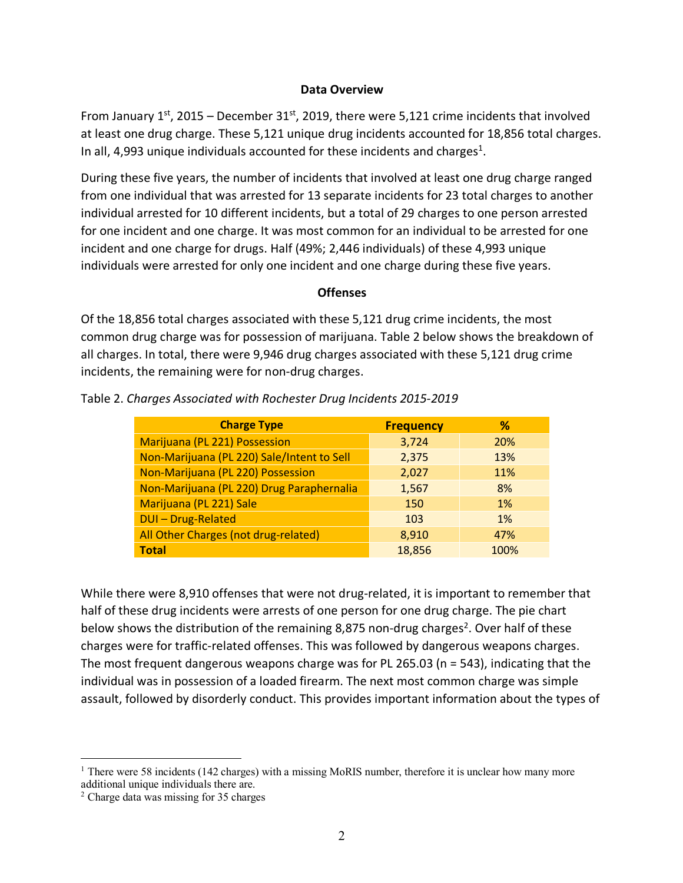### **Data Overview**

From January  $1^{st}$ , 2015 – December 31st, 2019, there were 5,121 crime incidents that involved at least one drug charge. These 5,121 unique drug incidents accounted for 18,856 total charges. In all, 4,993 unique individuals accounted for these incidents and charges<sup>1</sup>.

During these five years, the number of incidents that involved at least one drug charge ranged from one individual that was arrested for 13 separate incidents for 23 total charges to another individual arrested for 10 different incidents, but a total of 29 charges to one person arrested for one incident and one charge. It was most common for an individual to be arrested for one incident and one charge for drugs. Half (49%; 2,446 individuals) of these 4,993 unique individuals were arrested for only one incident and one charge during these five years.

### **Offenses**

Of the 18,856 total charges associated with these 5,121 drug crime incidents, the most common drug charge was for possession of marijuana. Table 2 below shows the breakdown of all charges. In total, there were 9,946 drug charges associated with these 5,121 drug crime incidents, the remaining were for non-drug charges.

| <b>Charge Type</b>                         | <b>Frequency</b> | ℅          |
|--------------------------------------------|------------------|------------|
| Marijuana (PL 221) Possession              | 3,724            | <b>20%</b> |
| Non-Marijuana (PL 220) Sale/Intent to Sell | 2,375            | 13%        |
| Non-Marijuana (PL 220) Possession          | 2,027            | 11%        |
| Non-Marijuana (PL 220) Drug Paraphernalia  | 1,567            | 8%         |
| Marijuana (PL 221) Sale                    | 150              | 1%         |
| DUI-Drug-Related                           | 103              | <b>1%</b>  |
| All Other Charges (not drug-related)       | 8,910            | 47%        |
| <b>Total</b>                               | 18,856           | 100%       |

Table 2. *Charges Associated with Rochester Drug Incidents 2015-2019*

While there were 8,910 offenses that were not drug-related, it is important to remember that half of these drug incidents were arrests of one person for one drug charge. The pie chart below shows the distribution of the remaining 8,875 non-drug charges<sup>2</sup>. Over half of these charges were for traffic-related offenses. This was followed by dangerous weapons charges. The most frequent dangerous weapons charge was for PL 265.03 (n = 543), indicating that the individual was in possession of a loaded firearm. The next most common charge was simple assault, followed by disorderly conduct. This provides important information about the types of

<sup>&</sup>lt;sup>1</sup> There were 58 incidents (142 charges) with a missing MoRIS number, therefore it is unclear how many more additional unique individuals there are.

<sup>2</sup> Charge data was missing for 35 charges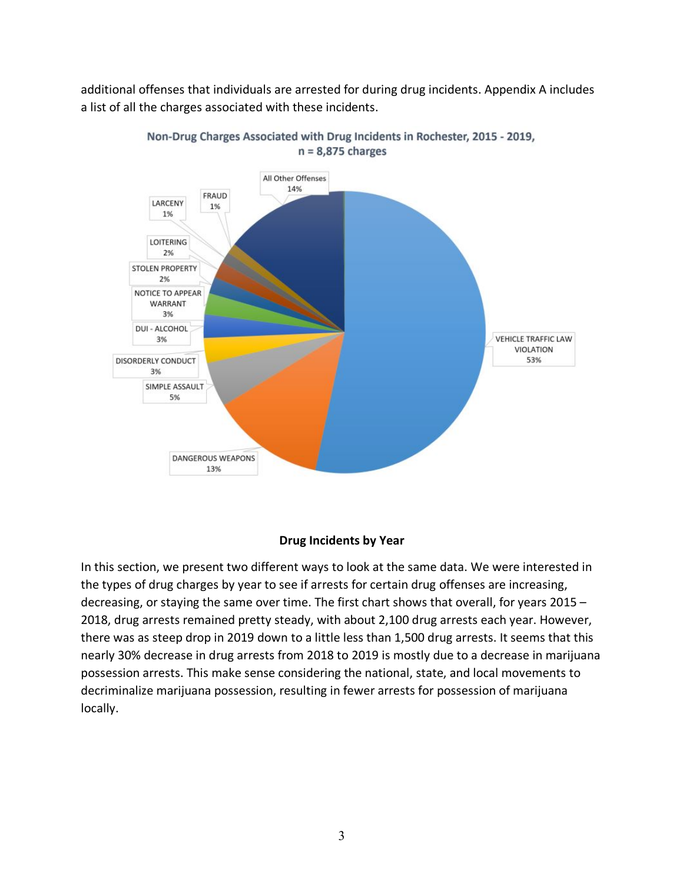additional offenses that individuals are arrested for during drug incidents. Appendix A includes a list of all the charges associated with these incidents.



Non-Drug Charges Associated with Drug Incidents in Rochester, 2015 - 2019,  $n = 8,875$  charges

# **Drug Incidents by Year**

In this section, we present two different ways to look at the same data. We were interested in the types of drug charges by year to see if arrests for certain drug offenses are increasing, decreasing, or staying the same over time. The first chart shows that overall, for years 2015 – 2018, drug arrests remained pretty steady, with about 2,100 drug arrests each year. However, there was as steep drop in 2019 down to a little less than 1,500 drug arrests. It seems that this nearly 30% decrease in drug arrests from 2018 to 2019 is mostly due to a decrease in marijuana possession arrests. This make sense considering the national, state, and local movements to decriminalize marijuana possession, resulting in fewer arrests for possession of marijuana locally.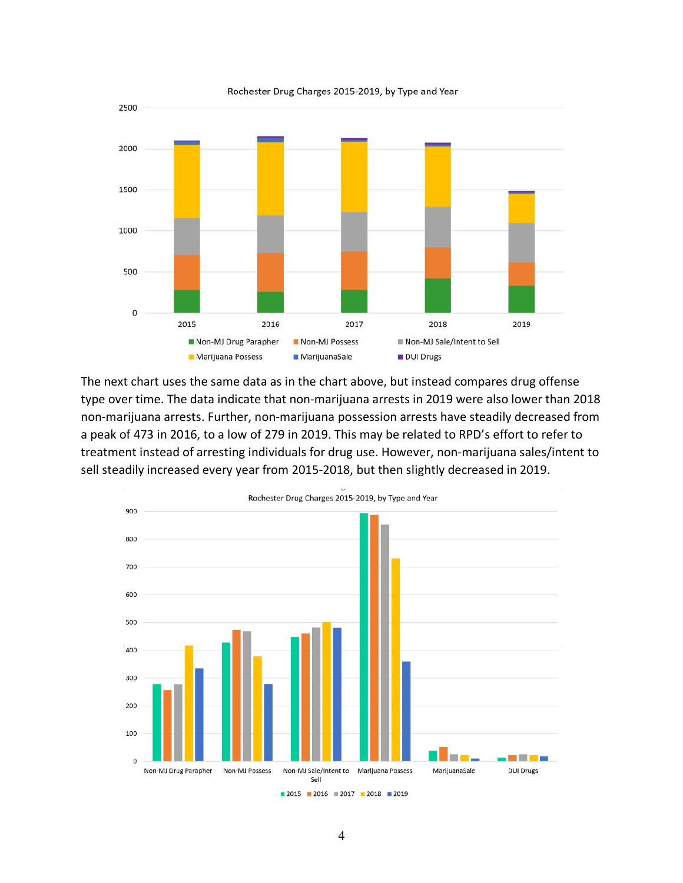

The next chart uses the same data as in the chart above, but instead compares drug offense type over time. The data indicate that non-marijuana arrests in 2019 were also lower than 2018 non-marijuana arrests. Further, non-marijuana possession arrests have steadily decreased from a peak of 473 in 2016, to a low of 279 in 2019. This may be related to RPD's effort to refer to treatment instead of arresting individuals for drug use. However, non-marijuana sales/intent to sell steadily increased every year from 2015-2018, but then slightly decreased in 2019.



Rochester Drug Charges 2015-2019, by Type and Year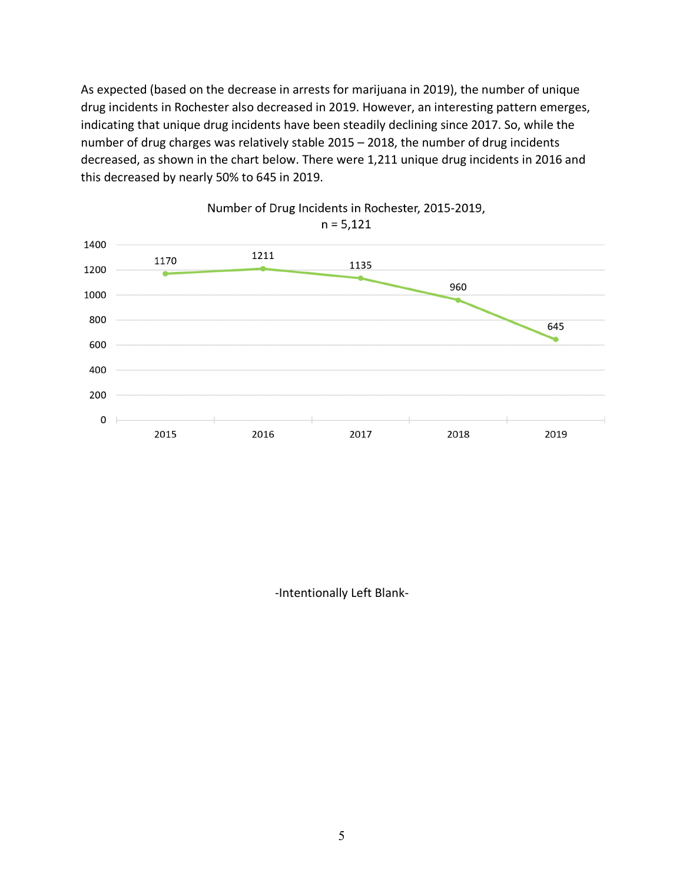As expected (based on the decrease in arrests for marijuana in 2019), the number of unique drug incidents in Rochester also decreased in 2019. However, an interesting pattern emerges, indicating that unique drug incidents have been steadily declining since 2017. So, while the number of drug charges was relatively stable 2015 – 2018, the number of drug incidents decreased, as shown in the chart below. There were 1,211 unique drug incidents in 2016 and this decreased by nearly 50% to 645 in 2019.



Number of Drug Incidents in Rochester, 2015-2019,

-Intentionally Left Blank-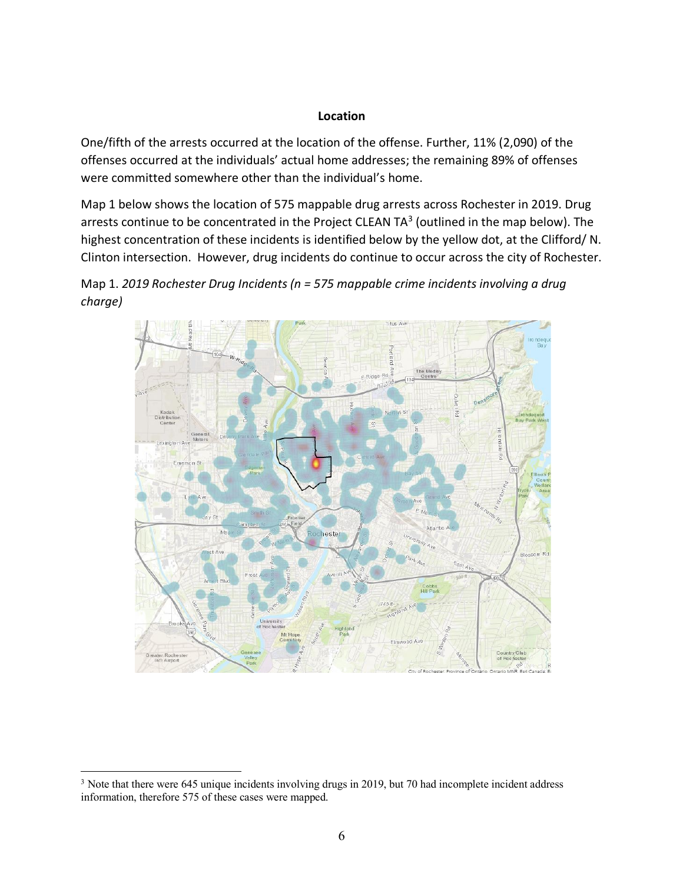#### **Location**

One/fifth of the arrests occurred at the location of the offense. Further, 11% (2,090) of the offenses occurred at the individuals' actual home addresses; the remaining 89% of offenses were committed somewhere other than the individual's home.

Map 1 below shows the location of 575 mappable drug arrests across Rochester in 2019. Drug arrests continue to be concentrated in the Project CLEAN TA<sup>3</sup> (outlined in the map below). The highest concentration of these incidents is identified below by the yellow dot, at the Clifford/ N. Clinton intersection. However, drug incidents do continue to occur across the city of Rochester.





<sup>&</sup>lt;sup>3</sup> Note that there were 645 unique incidents involving drugs in 2019, but 70 had incomplete incident address information, therefore 575 of these cases were mapped.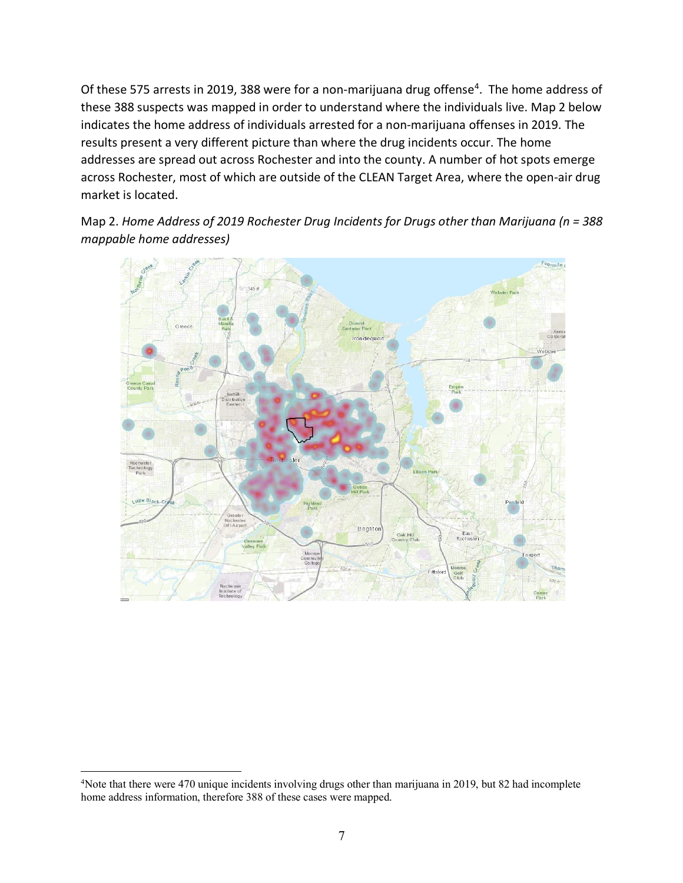Of these 575 arrests in 2019, 388 were for a non-marijuana drug offense<sup>4</sup>. The home address of these 388 suspects was mapped in order to understand where the individuals live. Map 2 below indicates the home address of individuals arrested for a non-marijuana offenses in 2019. The results present a very different picture than where the drug incidents occur. The home addresses are spread out across Rochester and into the county. A number of hot spots emerge across Rochester, most of which are outside of the CLEAN Target Area, where the open-air drug market is located.

Map 2. *Home Address of 2019 Rochester Drug Incidents for Drugs other than Marijuana (n = 388 mappable home addresses)*



 $\frac{1}{4}$ <sup>4</sup>Note that there were 470 unique incidents involving drugs other than marijuana in 2019, but 82 had incomplete home address information, therefore 388 of these cases were mapped.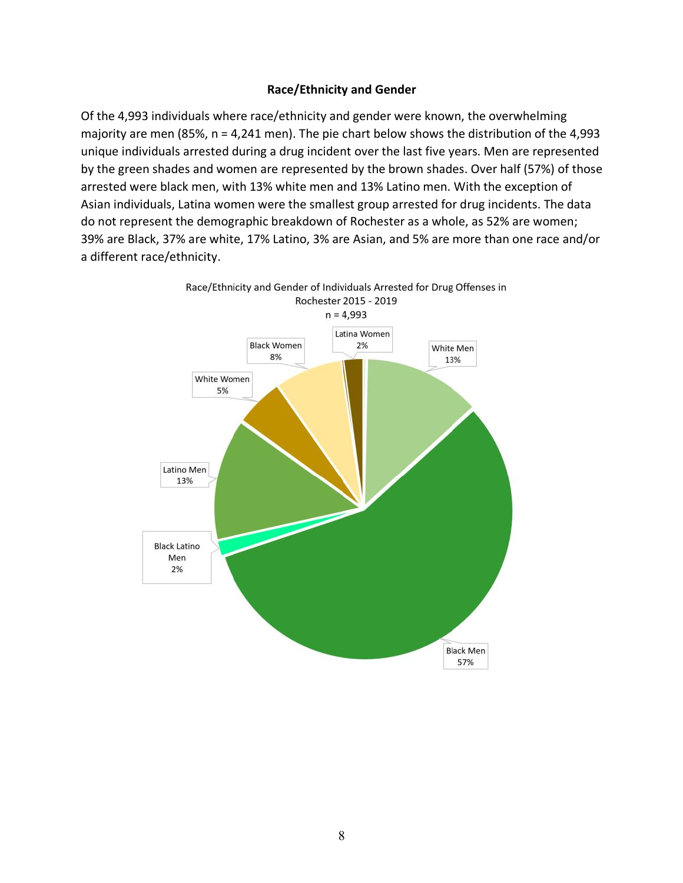# **Race/Ethnicity and Gender**

Of the 4,993 individuals where race/ethnicity and gender were known, the overwhelming majority are men (85%, n = 4,241 men). The pie chart below shows the distribution of the 4,993 unique individuals arrested during a drug incident over the last five years. Men are represented by the green shades and women are represented by the brown shades. Over half (57%) of those arrested were black men, with 13% white men and 13% Latino men. With the exception of Asian individuals, Latina women were the smallest group arrested for drug incidents. The data do not represent the demographic breakdown of Rochester as a whole, as 52% are women; 39% are Black, 37% are white, 17% Latino, 3% are Asian, and 5% are more than one race and/or a different race/ethnicity.

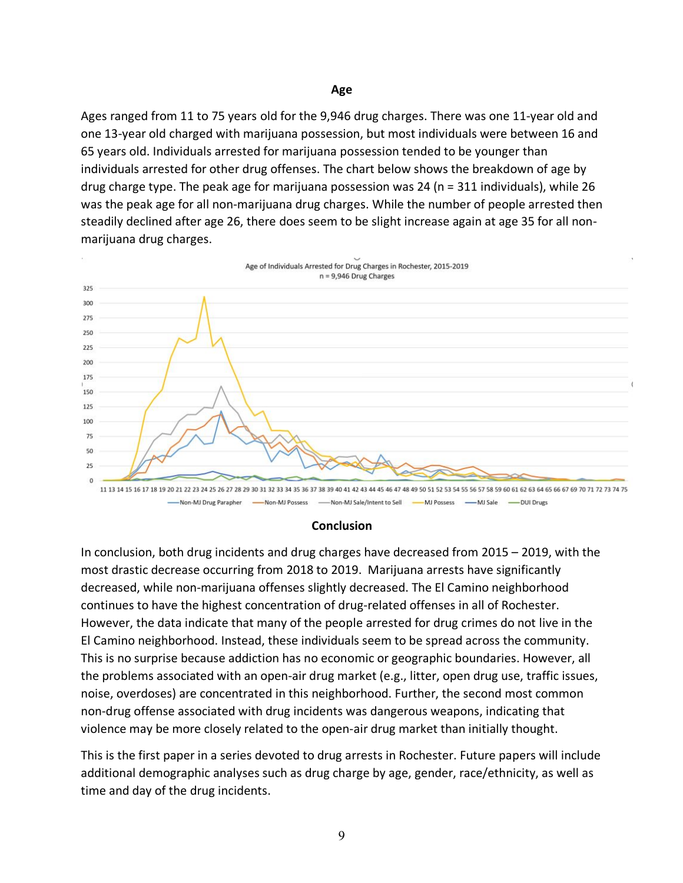Ages ranged from 11 to 75 years old for the 9,946 drug charges. There was one 11-year old and one 13-year old charged with marijuana possession, but most individuals were between 16 and 65 years old. Individuals arrested for marijuana possession tended to be younger than individuals arrested for other drug offenses. The chart below shows the breakdown of age by drug charge type. The peak age for marijuana possession was 24 (n = 311 individuals), while 26 was the peak age for all non-marijuana drug charges. While the number of people arrested then steadily declined after age 26, there does seem to be slight increase again at age 35 for all nonmarijuana drug charges.



#### **Conclusion**

In conclusion, both drug incidents and drug charges have decreased from 2015 – 2019, with the most drastic decrease occurring from 2018 to 2019. Marijuana arrests have significantly decreased, while non-marijuana offenses slightly decreased. The El Camino neighborhood continues to have the highest concentration of drug-related offenses in all of Rochester. However, the data indicate that many of the people arrested for drug crimes do not live in the El Camino neighborhood. Instead, these individuals seem to be spread across the community. This is no surprise because addiction has no economic or geographic boundaries. However, all the problems associated with an open-air drug market (e.g., litter, open drug use, traffic issues, noise, overdoses) are concentrated in this neighborhood. Further, the second most common non-drug offense associated with drug incidents was dangerous weapons, indicating that violence may be more closely related to the open-air drug market than initially thought.

This is the first paper in a series devoted to drug arrests in Rochester. Future papers will include additional demographic analyses such as drug charge by age, gender, race/ethnicity, as well as time and day of the drug incidents.

#### **Age**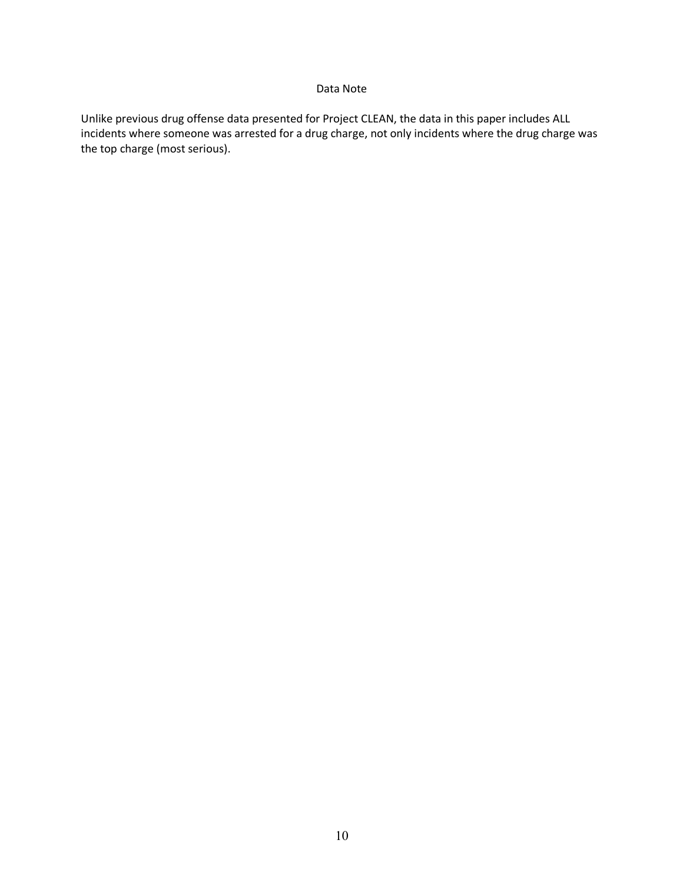#### Data Note

Unlike previous drug offense data presented for Project CLEAN, the data in this paper includes ALL incidents where someone was arrested for a drug charge, not only incidents where the drug charge was the top charge (most serious).